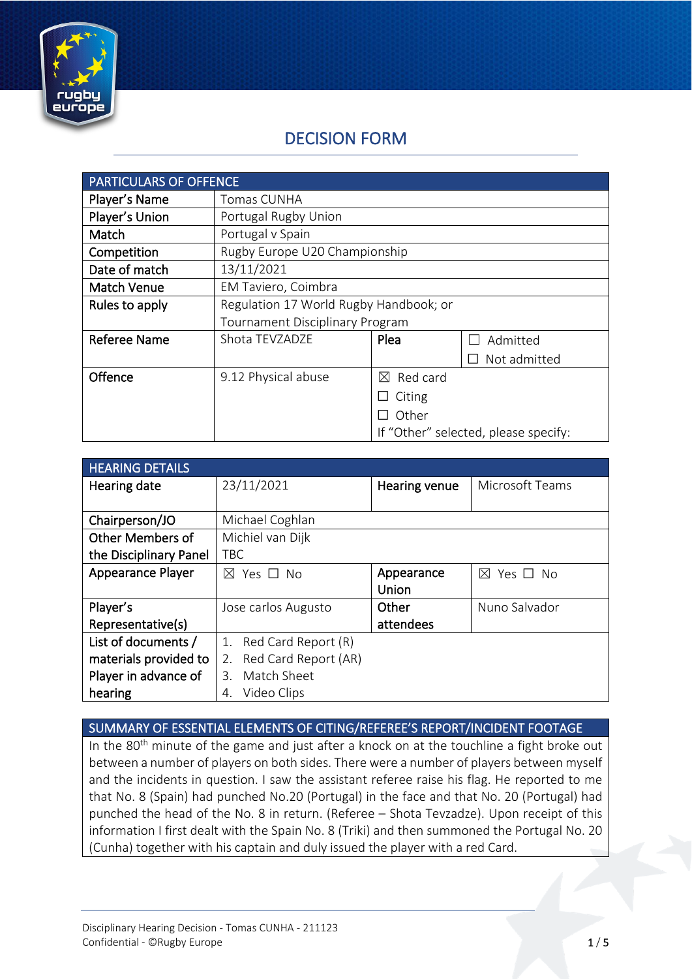

# DECISION FORM

| <b>PARTICULARS OF OFFENCE</b> |                                        |                         |                                      |
|-------------------------------|----------------------------------------|-------------------------|--------------------------------------|
| Player's Name                 | Tomas CUNHA                            |                         |                                      |
| Player's Union                | Portugal Rugby Union                   |                         |                                      |
| Match                         | Portugal v Spain                       |                         |                                      |
| Competition                   | Rugby Europe U20 Championship          |                         |                                      |
| Date of match                 | 13/11/2021                             |                         |                                      |
| <b>Match Venue</b>            | EM Taviero, Coimbra                    |                         |                                      |
| Rules to apply                | Regulation 17 World Rugby Handbook; or |                         |                                      |
|                               | <b>Tournament Disciplinary Program</b> |                         |                                      |
| <b>Referee Name</b>           | Shota TEVZADZE                         | Plea                    | Admitted                             |
|                               |                                        |                         | Not admitted                         |
| Offence                       | 9.12 Physical abuse                    | Red card<br>$\boxtimes$ |                                      |
|                               |                                        | Citing                  |                                      |
|                               |                                        | Other                   |                                      |
|                               |                                        |                         | If "Other" selected, please specify: |

| <b>HEARING DETAILS</b> |                            |               |                              |
|------------------------|----------------------------|---------------|------------------------------|
| Hearing date           | 23/11/2021                 | Hearing venue | Microsoft Teams              |
|                        |                            |               |                              |
| Chairperson/JO         | Michael Coghlan            |               |                              |
| Other Members of       | Michiel van Dijk           |               |                              |
| the Disciplinary Panel | <b>TBC</b>                 |               |                              |
| Appearance Player      | $\boxtimes$ Yes $\Box$ No  | Appearance    | Yes $\Box$ No<br>$\boxtimes$ |
|                        |                            | <b>Union</b>  |                              |
| Player's               | Jose carlos Augusto        | Other         | Nuno Salvador                |
| Representative(s)      |                            | attendees     |                              |
| List of documents /    | Red Card Report (R)<br>1.  |               |                              |
| materials provided to  | Red Card Report (AR)<br>2. |               |                              |
| Player in advance of   | Match Sheet<br>$3_{-}$     |               |                              |
| hearing                | Video Clips<br>4.          |               |                              |

SUMMARY OF ESSENTIAL ELEMENTS OF CITING/REFEREE'S REPORT/INCIDENT FOOTAGE

In the  $80<sup>th</sup>$  minute of the game and just after a knock on at the touchline a fight broke out between a number of players on both sides. There were a number of players between myself and the incidents in question. I saw the assistant referee raise his flag. He reported to me that No. 8 (Spain) had punched No.20 (Portugal) in the face and that No. 20 (Portugal) had punched the head of the No. 8 in return. (Referee – Shota Tevzadze). Upon receipt of this information I first dealt with the Spain No. 8 (Triki) and then summoned the Portugal No. 20 (Cunha) together with his captain and duly issued the player with a red Card.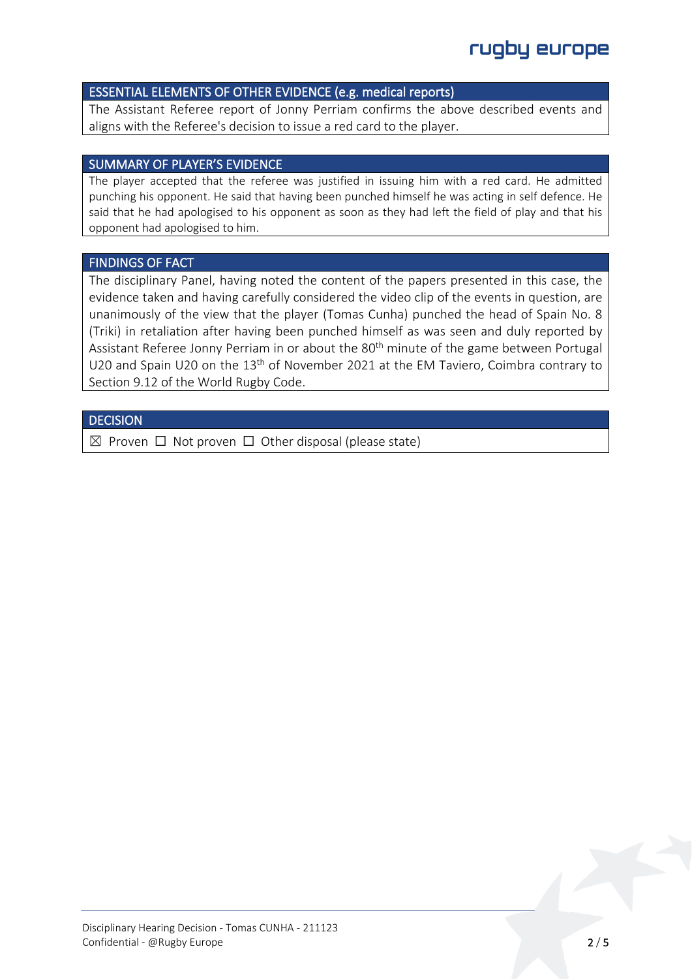#### ESSENTIAL ELEMENTS OF OTHER EVIDENCE (e.g. medical reports)

The Assistant Referee report of Jonny Perriam confirms the above described events and aligns with the Referee's decision to issue a red card to the player.

### SUMMARY OF PLAYER'S EVIDENCE

The player accepted that the referee was justified in issuing him with a red card. He admitted punching his opponent. He said that having been punched himself he was acting in self defence. He said that he had apologised to his opponent as soon as they had left the field of play and that his opponent had apologised to him.

### FINDINGS OF FACT

The disciplinary Panel, having noted the content of the papers presented in this case, the evidence taken and having carefully considered the video clip of the events in question, are unanimously of the view that the player (Tomas Cunha) punched the head of Spain No. 8 (Triki) in retaliation after having been punched himself as was seen and duly reported by Assistant Referee Jonny Perriam in or about the 80<sup>th</sup> minute of the game between Portugal U20 and Spain U20 on the 13th of November 2021 at the EM Taviero, Coimbra contrary to Section 9.12 of the World Rugby Code.

#### **DECISION**

 $\boxtimes$  Proven  $\Box$  Not proven  $\Box$  Other disposal (please state)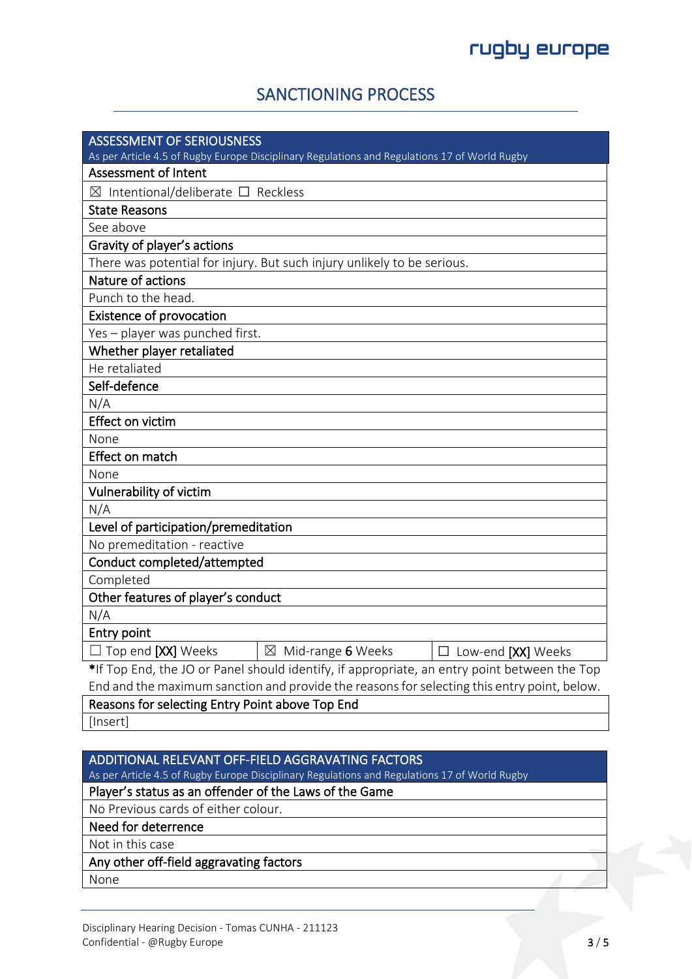## SANCTIONING PROCESS

| <b>ASSESSMENT OF SERIOUSNESS</b>                                                              |  |  |
|-----------------------------------------------------------------------------------------------|--|--|
| As per Article 4.5 of Rugby Europe Disciplinary Regulations and Regulations 17 of World Rugby |  |  |
| <b>Assessment of Intent</b>                                                                   |  |  |
| $\boxtimes$ Intentional/deliberate $\square$ Reckless                                         |  |  |
|                                                                                               |  |  |
| <b>State Reasons</b><br>See above                                                             |  |  |
|                                                                                               |  |  |
| Gravity of player's actions                                                                   |  |  |
| There was potential for injury. But such injury unlikely to be serious.<br>Nature of actions  |  |  |
| Punch to the head.                                                                            |  |  |
|                                                                                               |  |  |
| <b>Existence of provocation</b>                                                               |  |  |
| Yes - player was punched first.                                                               |  |  |
| Whether player retaliated                                                                     |  |  |
| He retaliated                                                                                 |  |  |
| Self-defence                                                                                  |  |  |
| N/A                                                                                           |  |  |
| Effect on victim                                                                              |  |  |
| None                                                                                          |  |  |
| Effect on match                                                                               |  |  |
| None                                                                                          |  |  |
| Vulnerability of victim                                                                       |  |  |
| N/A                                                                                           |  |  |
| Level of participation/premeditation                                                          |  |  |
| No premeditation - reactive                                                                   |  |  |
| Conduct completed/attempted                                                                   |  |  |
| Completed                                                                                     |  |  |
| Other features of player's conduct                                                            |  |  |
| N/A                                                                                           |  |  |
| Entry point                                                                                   |  |  |
| $\boxtimes$ Mid-range 6 Weeks<br>$\Box$ Top end [XX] Weeks<br>$\Box$ Low-end [XX] Weeks       |  |  |
| *If Top End, the JO or Panel should identify, if appropriate, an entry point between the Top  |  |  |
| End and the maximum sanction and provide the reasons for selecting this entry point, below.   |  |  |
| Reasons for selecting Entry Point above Top End                                               |  |  |
| [Insert]                                                                                      |  |  |

## ADDITIONAL RELEVANT OFF-FIELD AGGRAVATING FACTORS

As per Article 4.5 of Rugby Europe Disciplinary Regulations and Regulations 17 of World Rugby

### Player's status as an offender of the Laws of the Game

No Previous cards of either colour.

Need for deterrence

Not in this case

## Any other off-field aggravating factors

None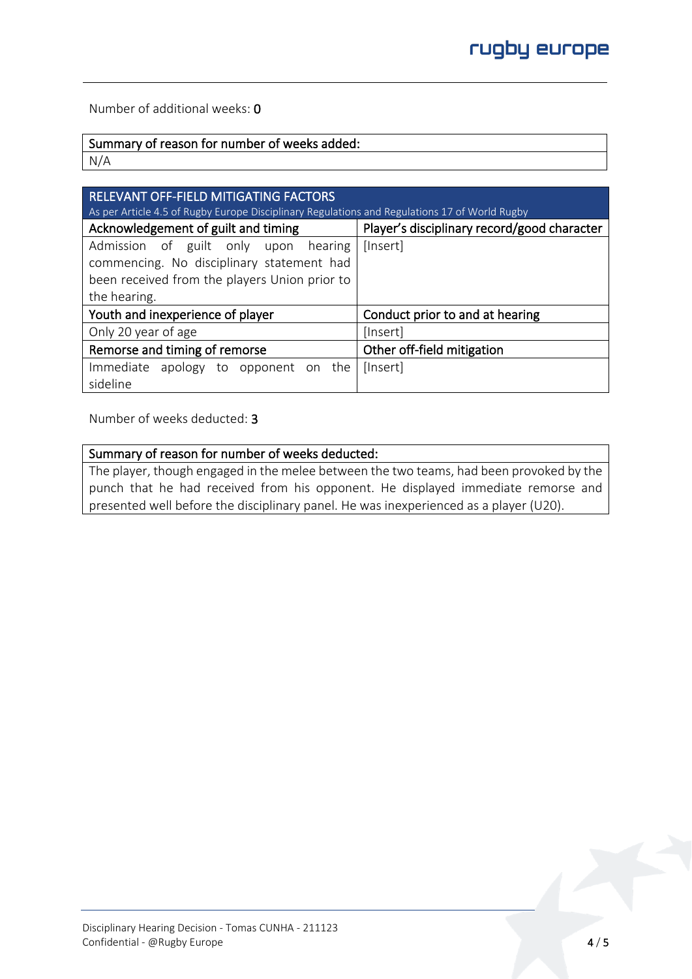Number of additional weeks: 0

## Summary of reason for number of weeks added:

N/A

| RELEVANT OFF-FIELD MITIGATING FACTORS<br>As per Article 4.5 of Rugby Europe Disciplinary Regulations and Regulations 17 of World Rugby |                                             |  |  |  |
|----------------------------------------------------------------------------------------------------------------------------------------|---------------------------------------------|--|--|--|
| Acknowledgement of guilt and timing                                                                                                    | Player's disciplinary record/good character |  |  |  |
| Admission of guilt only upon<br>hearing                                                                                                | [Insert]                                    |  |  |  |
| commencing. No disciplinary statement had                                                                                              |                                             |  |  |  |
| been received from the players Union prior to                                                                                          |                                             |  |  |  |
| the hearing.                                                                                                                           |                                             |  |  |  |
| Youth and inexperience of player                                                                                                       | Conduct prior to and at hearing             |  |  |  |
| Only 20 year of age                                                                                                                    | [Insert]                                    |  |  |  |
| Remorse and timing of remorse                                                                                                          | Other off-field mitigation                  |  |  |  |
| Immediate apology to opponent on the                                                                                                   | [Insert]                                    |  |  |  |
| sideline                                                                                                                               |                                             |  |  |  |

Number of weeks deducted: 3

#### Summary of reason for number of weeks deducted:

The player, though engaged in the melee between the two teams, had been provoked by the punch that he had received from his opponent. He displayed immediate remorse and presented well before the disciplinary panel. He was inexperienced as a player (U20).